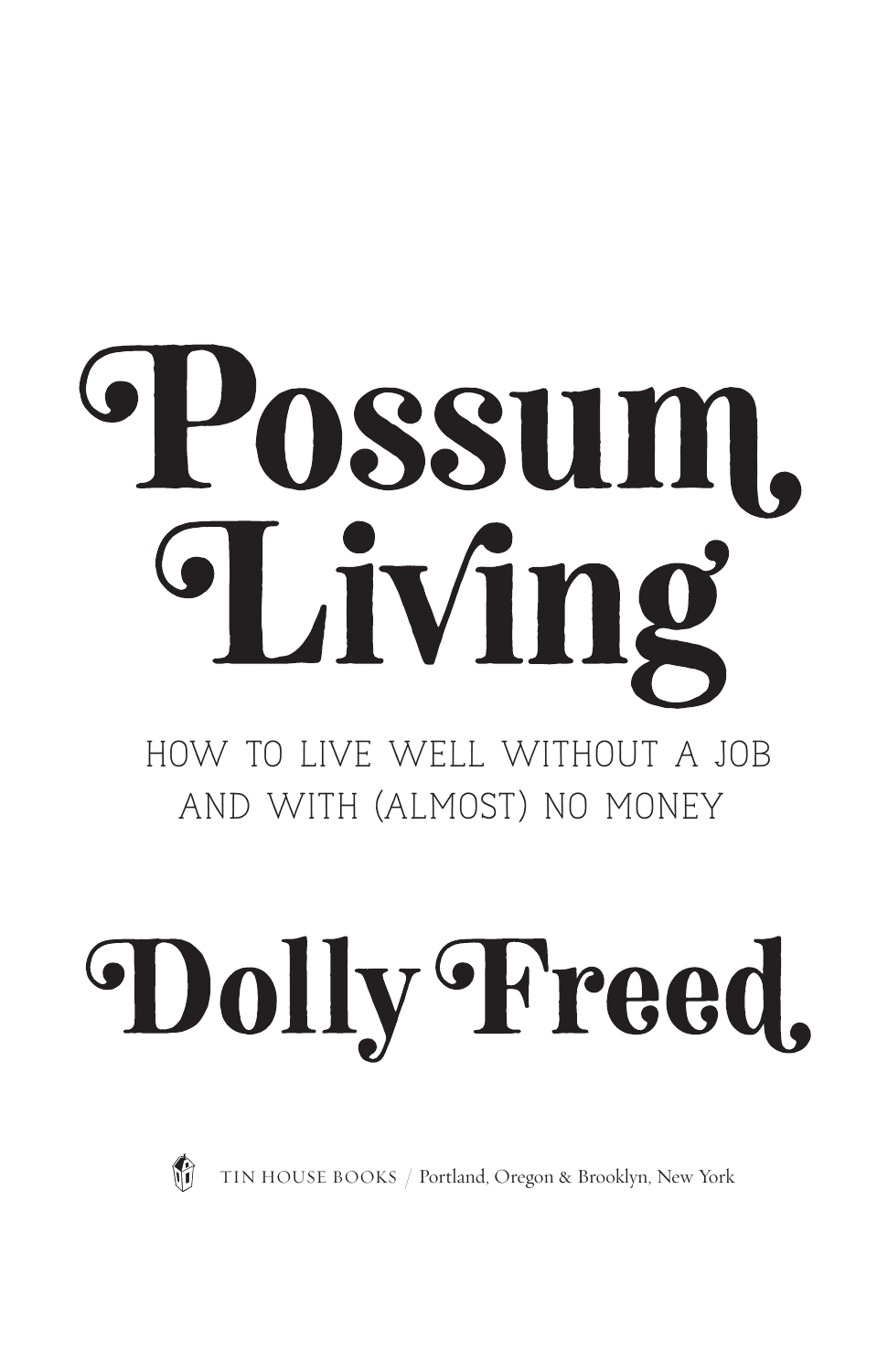# Possum. Living

**How to Live Well Without a Job and With (Almost) No Money**

# Dolly Freed.



∏IN HOUSE BOOKS / Portland, Oregon & Brooklyn, New York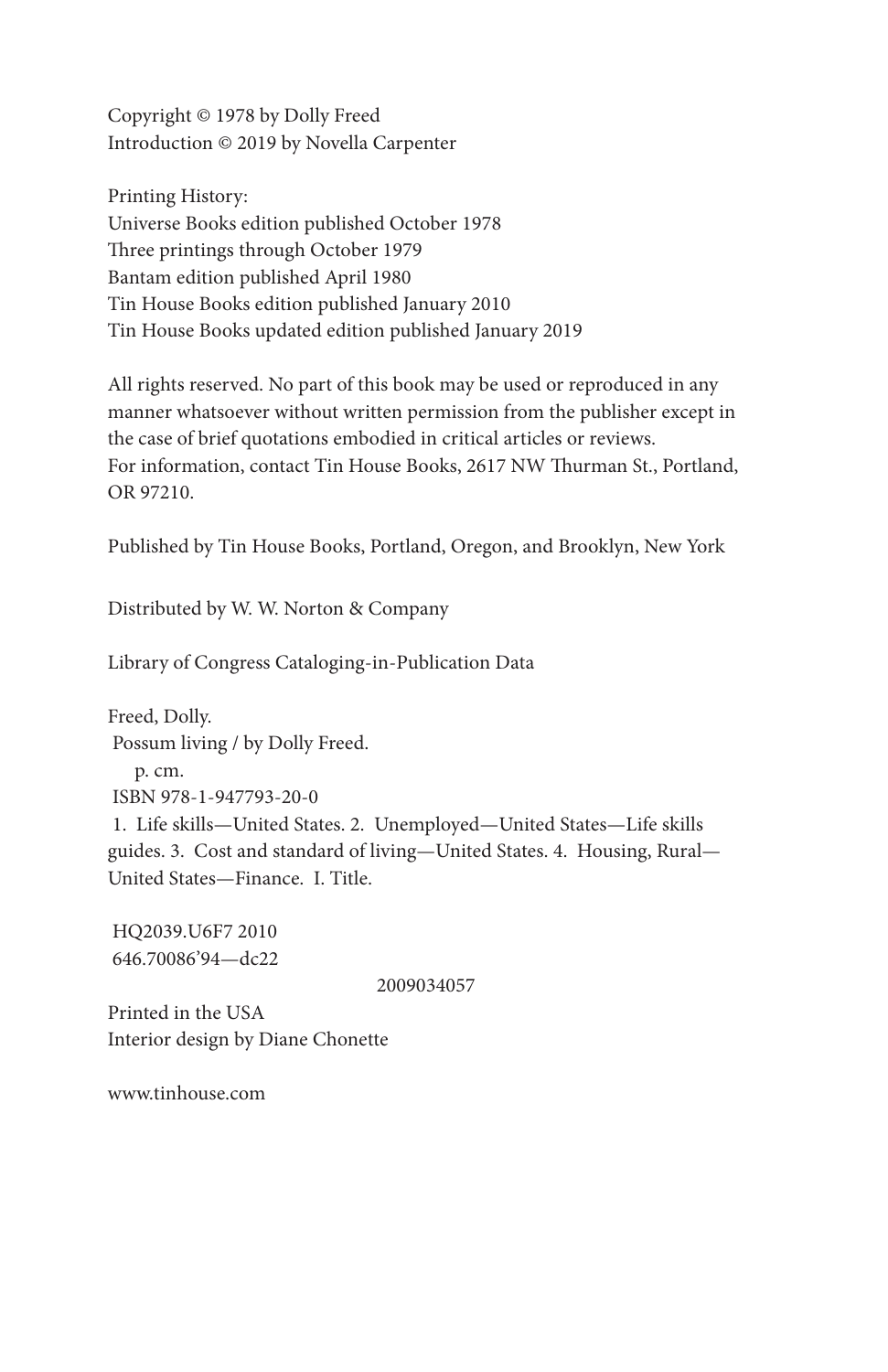Copyright © 1978 by Dolly Freed Introduction © 2019 by Novella Carpenter

Printing History: Universe Books edition published October 1978 Three printings through October 1979 Bantam edition published April 1980 Tin House Books edition published January 2010 Tin House Books updated edition published January 2019

All rights reserved. No part of this book may be used or reproduced in any manner whatsoever without written permission from the publisher except in the case of brief quotations embodied in critical articles or reviews. For information, contact Tin House Books, 2617 NW Thurman St., Portland, OR 97210.

Published by Tin House Books, Portland, Oregon, and Brooklyn, New York

Distributed by W. W. Norton & Company

Library of Congress Cataloging-in-Publication Data

Freed, Dolly. Possum living / by Dolly Freed. p. cm. ISBN 978-1-947793-20-0 1. Life skills—United States. 2. Unemployed—United States—Life skills guides. 3. Cost and standard of living—United States. 4. Housing, Rural— United States—Finance. I. Title.

 HQ2039.U6F7 2010 646.70086'94—dc22

2009034057

Printed in the USA Interior design by Diane Chonette

www.tinhouse.com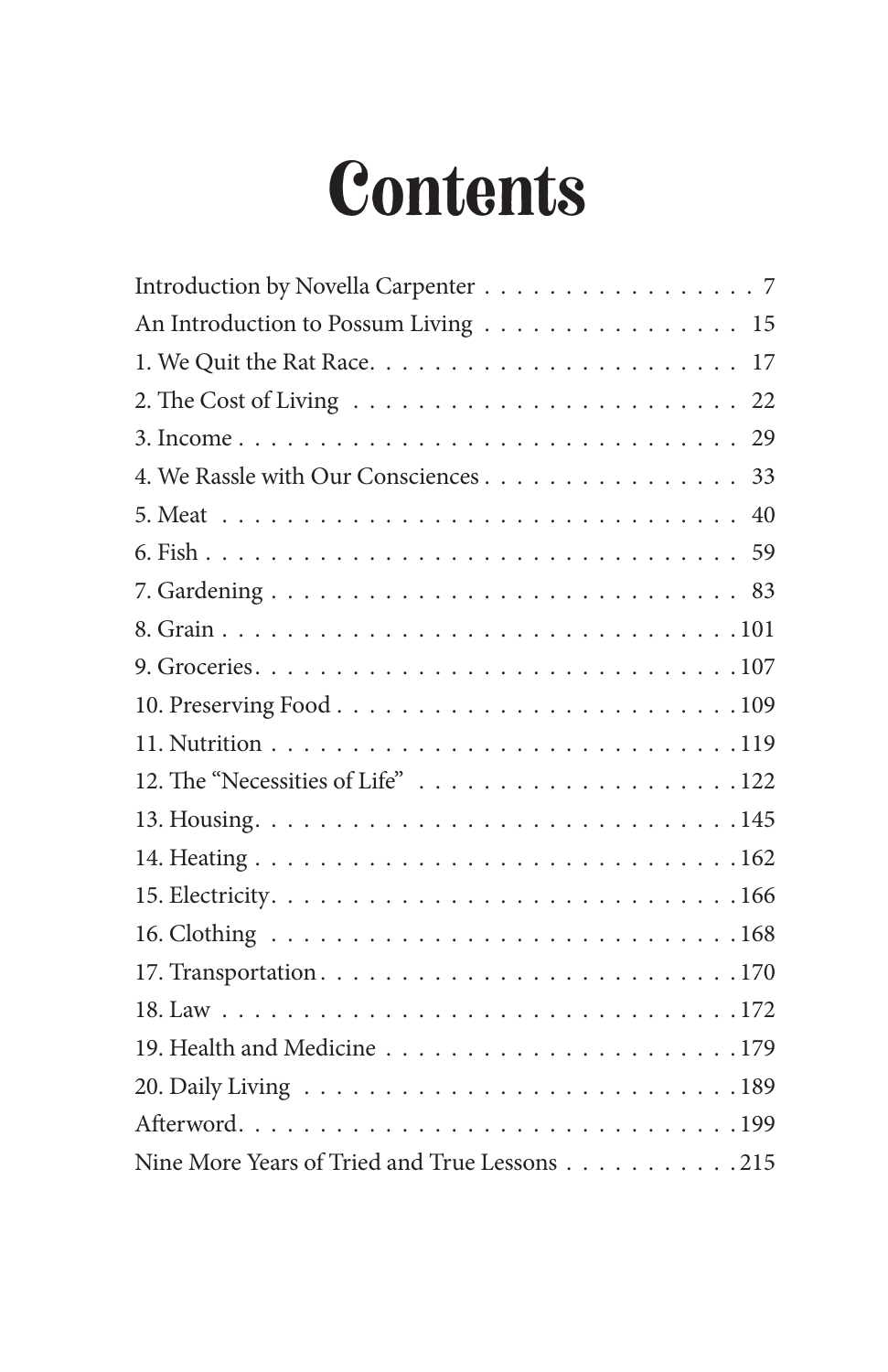## **Contents**

| Introduction by Novella Carpenter 7           |
|-----------------------------------------------|
| An Introduction to Possum Living 15           |
|                                               |
|                                               |
|                                               |
| 4. We Rassle with Our Consciences 33          |
|                                               |
|                                               |
|                                               |
|                                               |
|                                               |
|                                               |
|                                               |
|                                               |
|                                               |
|                                               |
|                                               |
|                                               |
|                                               |
|                                               |
|                                               |
|                                               |
|                                               |
| Nine More Years of Tried and True Lessons 215 |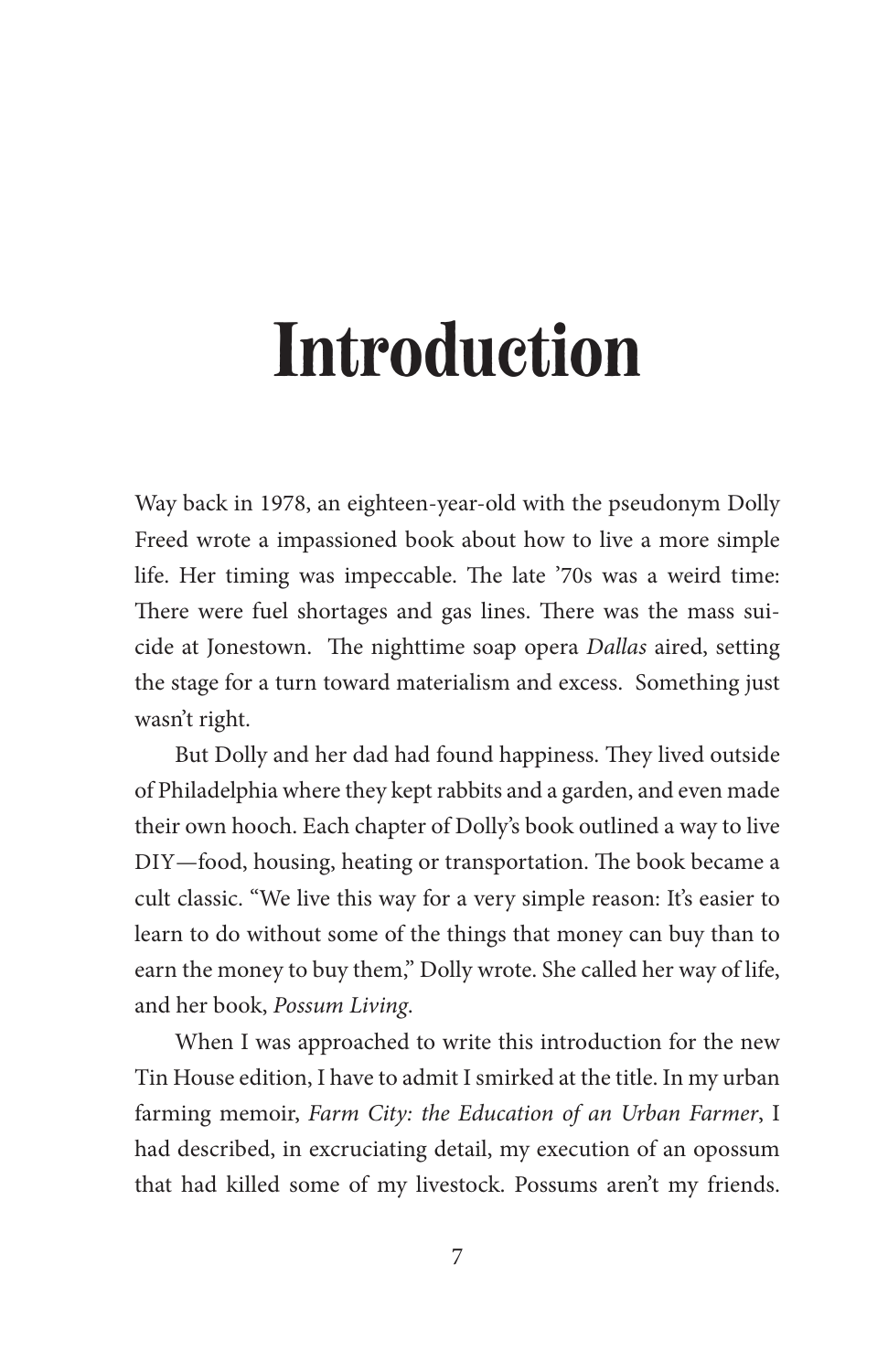### Introduction

Way back in 1978, an eighteen-year-old with the pseudonym Dolly Freed wrote a impassioned book about how to live a more simple life. Her timing was impeccable. The late '70s was a weird time: There were fuel shortages and gas lines. There was the mass suicide at Jonestown. The nighttime soap opera *Dallas* aired, setting the stage for a turn toward materialism and excess. Something just wasn't right.

But Dolly and her dad had found happiness. They lived outside of Philadelphia where they kept rabbits and a garden, and even made their own hooch. Each chapter of Dolly's book outlined a way to live DIY—food, housing, heating or transportation. The book became a cult classic. "We live this way for a very simple reason: It's easier to learn to do without some of the things that money can buy than to earn the money to buy them," Dolly wrote. She called her way of life, and her book, *Possum Living*.

When I was approached to write this introduction for the new Tin House edition, I have to admit I smirked at the title. In my urban farming memoir, *Farm City: the Education of an Urban Farmer*, I had described, in excruciating detail, my execution of an opossum that had killed some of my livestock. Possums aren't my friends.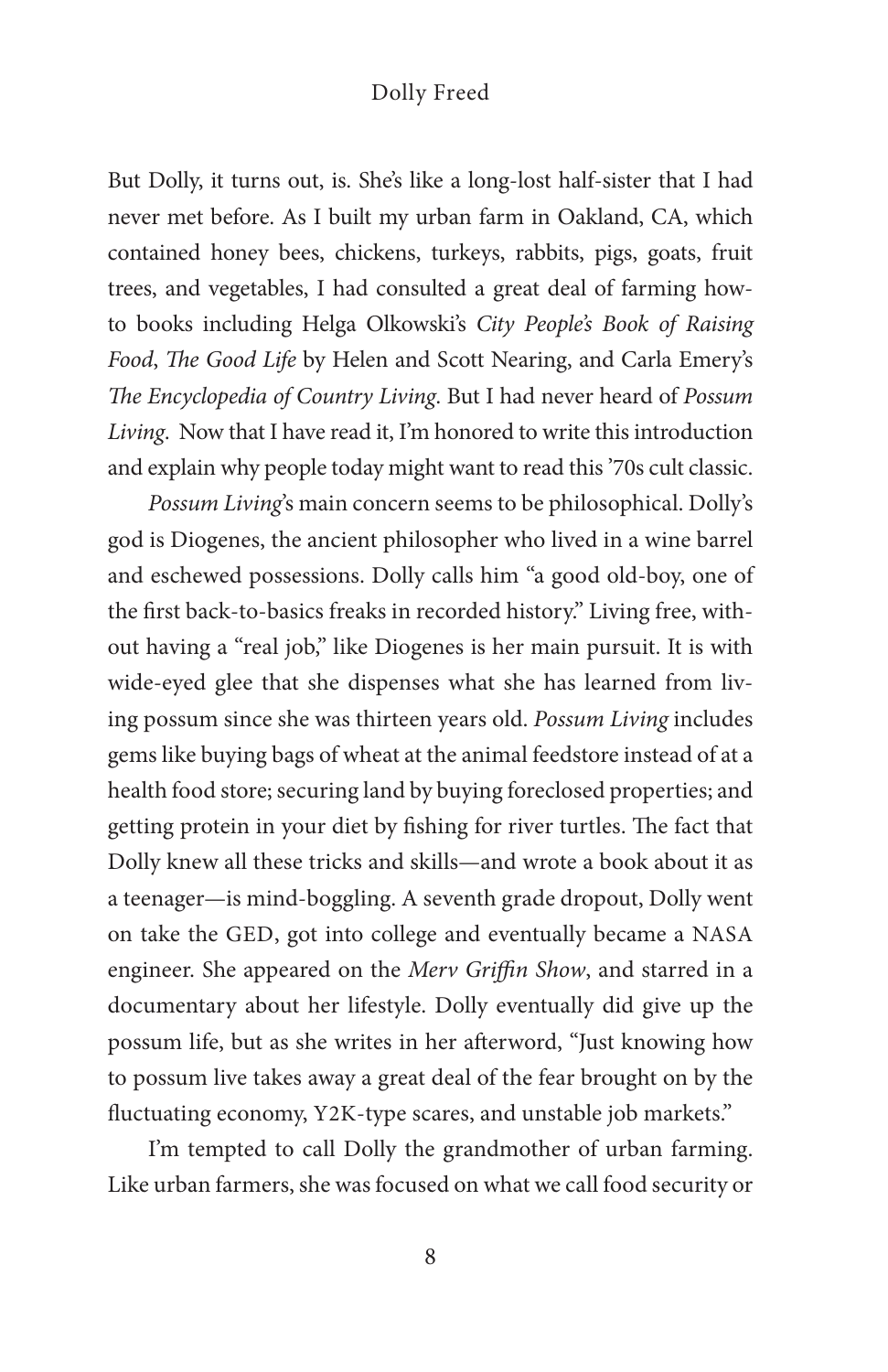But Dolly, it turns out, is. She's like a long-lost half-sister that I had never met before. As I built my urban farm in Oakland, CA, which contained honey bees, chickens, turkeys, rabbits, pigs, goats, fruit trees, and vegetables, I had consulted a great deal of farming howto books including Helga Olkowski's *City People's Book of Raising Food*, *The Good Life* by Helen and Scott Nearing, and Carla Emery's *The Encyclopedia of Country Living*. But I had never heard of *Possum Living*. Now that I have read it, I'm honored to write this introduction and explain why people today might want to read this '70s cult classic.

*Possum Living*'s main concern seems to be philosophical. Dolly's god is Diogenes, the ancient philosopher who lived in a wine barrel and eschewed possessions. Dolly calls him "a good old-boy, one of the first back-to-basics freaks in recorded history." Living free, without having a "real job," like Diogenes is her main pursuit. It is with wide-eyed glee that she dispenses what she has learned from living possum since she was thirteen years old. *Possum Living* includes gems like buying bags of wheat at the animal feedstore instead of at a health food store; securing land by buying foreclosed properties; and getting protein in your diet by fishing for river turtles. The fact that Dolly knew all these tricks and skills—and wrote a book about it as a teenager—is mind-boggling. A seventh grade dropout, Dolly went on take the GED, got into college and eventually became a NASA engineer. She appeared on the *Merv Griffin Show*, and starred in a documentary about her lifestyle. Dolly eventually did give up the possum life, but as she writes in her afterword, "Just knowing how to possum live takes away a great deal of the fear brought on by the fluctuating economy, Y2K-type scares, and unstable job markets."

I'm tempted to call Dolly the grandmother of urban farming. Like urban farmers, she was focused on what we call food security or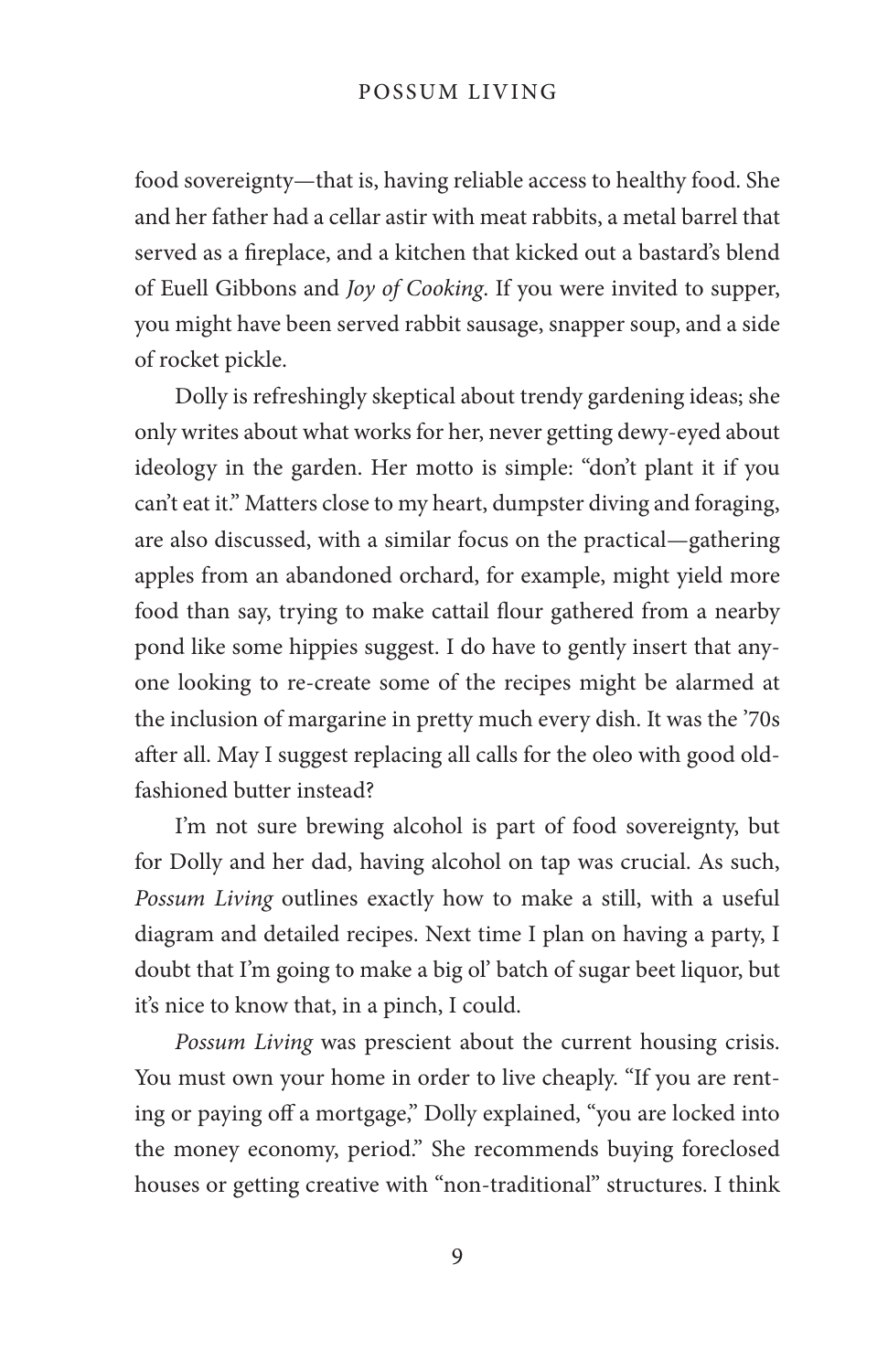food sovereignty—that is, having reliable access to healthy food. She and her father had a cellar astir with meat rabbits, a metal barrel that served as a fireplace, and a kitchen that kicked out a bastard's blend of Euell Gibbons and *Joy of Cooking*. If you were invited to supper, you might have been served rabbit sausage, snapper soup, and a side of rocket pickle.

Dolly is refreshingly skeptical about trendy gardening ideas; she only writes about what works for her, never getting dewy-eyed about ideology in the garden. Her motto is simple: "don't plant it if you can't eat it." Matters close to my heart, dumpster diving and foraging, are also discussed, with a similar focus on the practical—gathering apples from an abandoned orchard, for example, might yield more food than say, trying to make cattail flour gathered from a nearby pond like some hippies suggest. I do have to gently insert that anyone looking to re-create some of the recipes might be alarmed at the inclusion of margarine in pretty much every dish. It was the '70s after all. May I suggest replacing all calls for the oleo with good oldfashioned butter instead?

I'm not sure brewing alcohol is part of food sovereignty, but for Dolly and her dad, having alcohol on tap was crucial. As such, *Possum Living* outlines exactly how to make a still, with a useful diagram and detailed recipes. Next time I plan on having a party, I doubt that I'm going to make a big ol' batch of sugar beet liquor, but it's nice to know that, in a pinch, I could.

*Possum Living* was prescient about the current housing crisis. You must own your home in order to live cheaply. "If you are renting or paying off a mortgage," Dolly explained, "you are locked into the money economy, period." She recommends buying foreclosed houses or getting creative with "non-traditional" structures. I think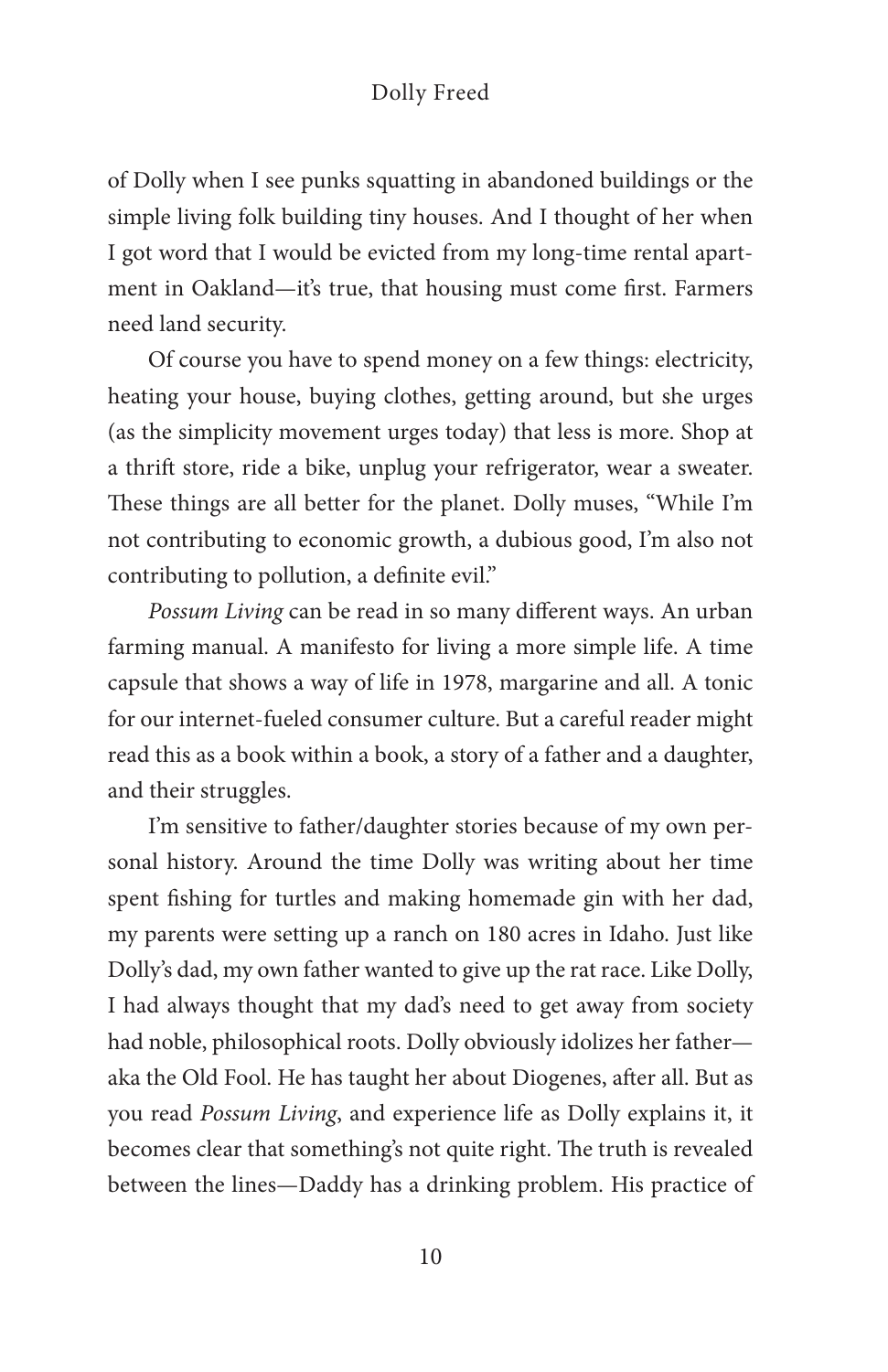of Dolly when I see punks squatting in abandoned buildings or the simple living folk building tiny houses. And I thought of her when I got word that I would be evicted from my long-time rental apartment in Oakland—it's true, that housing must come first. Farmers need land security.

Of course you have to spend money on a few things: electricity, heating your house, buying clothes, getting around, but she urges (as the simplicity movement urges today) that less is more. Shop at a thrift store, ride a bike, unplug your refrigerator, wear a sweater. These things are all better for the planet. Dolly muses, "While I'm not contributing to economic growth, a dubious good, I'm also not contributing to pollution, a definite evil."

*Possum Living* can be read in so many different ways. An urban farming manual. A manifesto for living a more simple life. A time capsule that shows a way of life in 1978, margarine and all. A tonic for our internet-fueled consumer culture. But a careful reader might read this as a book within a book, a story of a father and a daughter, and their struggles.

I'm sensitive to father/daughter stories because of my own personal history. Around the time Dolly was writing about her time spent fishing for turtles and making homemade gin with her dad, my parents were setting up a ranch on 180 acres in Idaho. Just like Dolly's dad, my own father wanted to give up the rat race. Like Dolly, I had always thought that my dad's need to get away from society had noble, philosophical roots. Dolly obviously idolizes her father aka the Old Fool. He has taught her about Diogenes, after all. But as you read *Possum Living*, and experience life as Dolly explains it, it becomes clear that something's not quite right. The truth is revealed between the lines—Daddy has a drinking problem. His practice of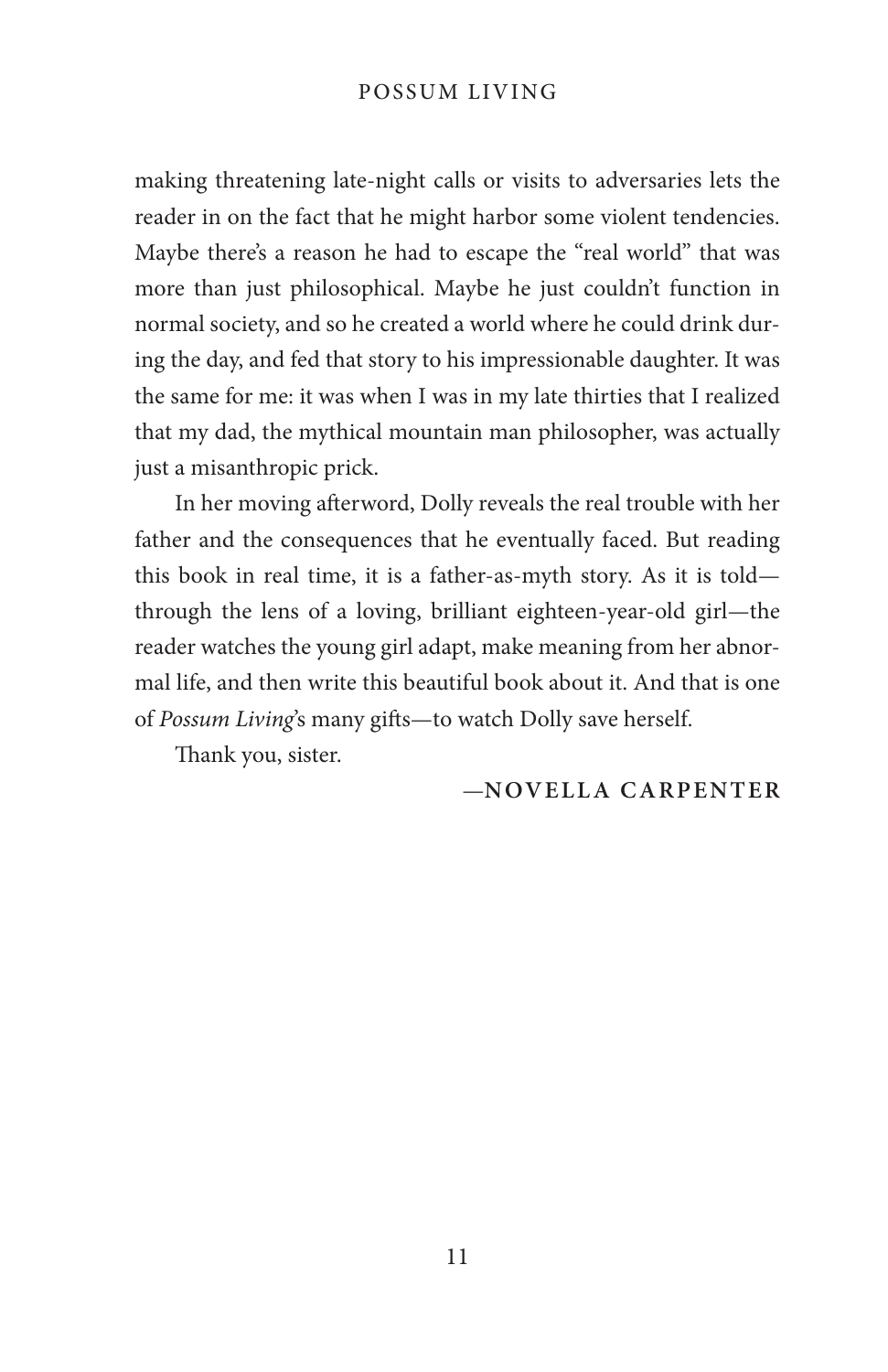making threatening late-night calls or visits to adversaries lets the reader in on the fact that he might harbor some violent tendencies. Maybe there's a reason he had to escape the "real world" that was more than just philosophical. Maybe he just couldn't function in normal society, and so he created a world where he could drink during the day, and fed that story to his impressionable daughter. It was the same for me: it was when I was in my late thirties that I realized that my dad, the mythical mountain man philosopher, was actually just a misanthropic prick.

In her moving afterword, Dolly reveals the real trouble with her father and the consequences that he eventually faced. But reading this book in real time, it is a father-as-myth story. As it is told through the lens of a loving, brilliant eighteen-year-old girl—the reader watches the young girl adapt, make meaning from her abnormal life, and then write this beautiful book about it. And that is one of *Possum Living*'s many gifts—to watch Dolly save herself.

Thank you, sister.

#### —**NOVELLA CARPENTER**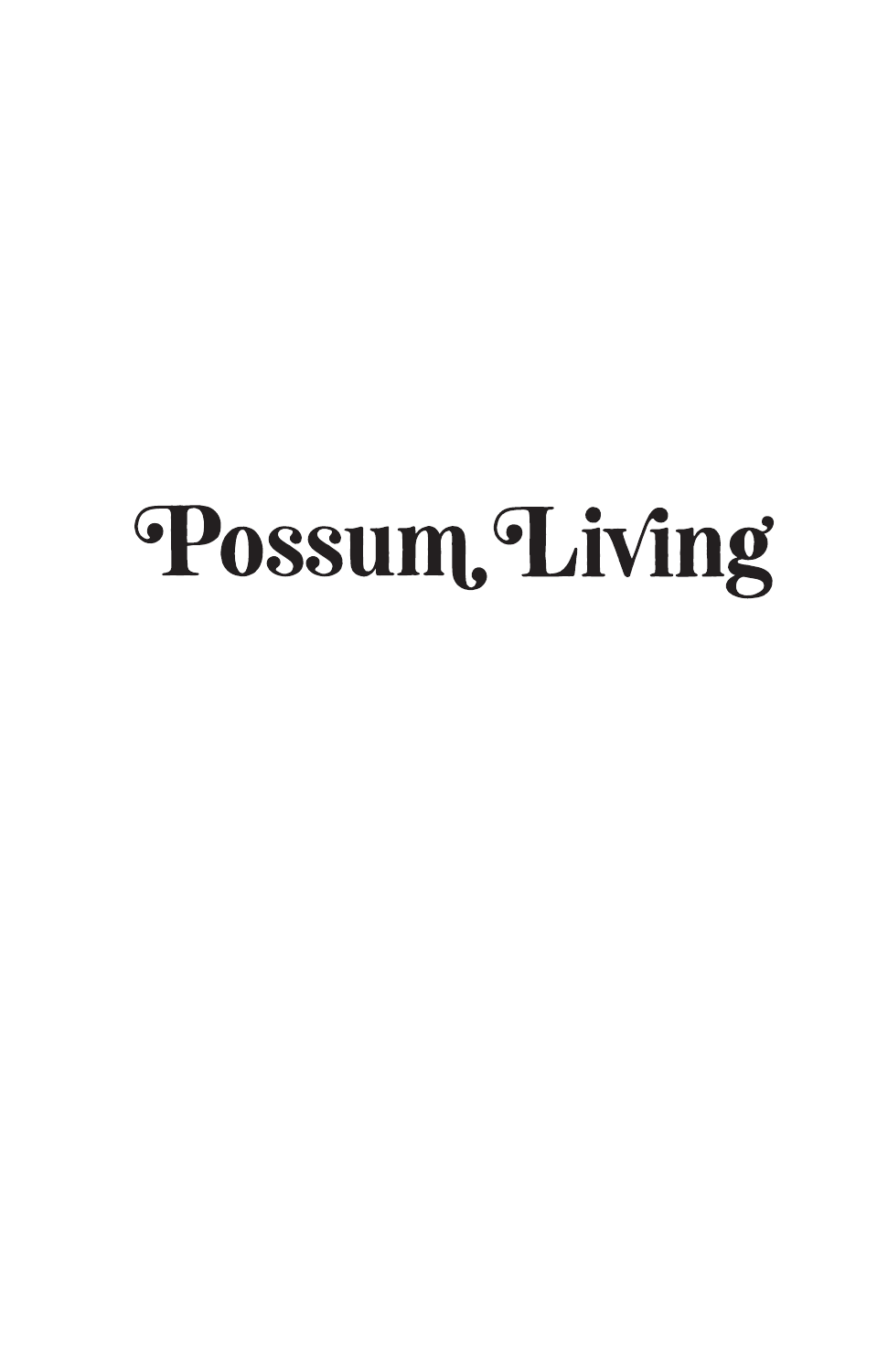# Possum, Living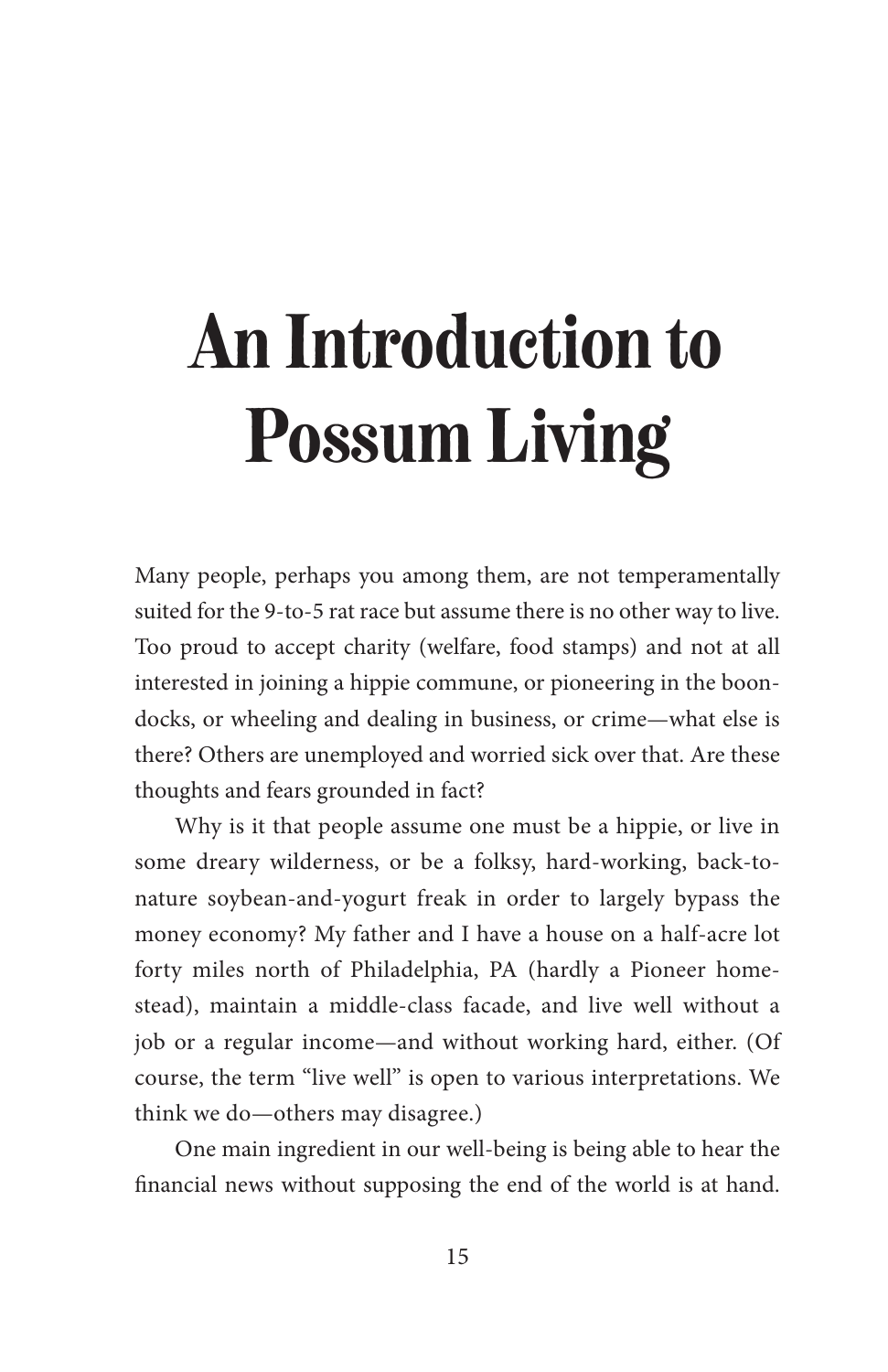## An Introduction to Possum Living

Many people, perhaps you among them, are not temperamentally suited for the 9-to-5 rat race but assume there is no other way to live. Too proud to accept charity (welfare, food stamps) and not at all interested in joining a hippie commune, or pioneering in the boondocks, or wheeling and dealing in business, or crime—what else is there? Others are unemployed and worried sick over that. Are these thoughts and fears grounded in fact?

Why is it that people assume one must be a hippie, or live in some dreary wilderness, or be a folksy, hard-working, back-tonature soybean-and-yogurt freak in order to largely bypass the money economy? My father and I have a house on a half-acre lot forty miles north of Philadelphia, PA (hardly a Pioneer homestead), maintain a middle-class facade, and live well without a job or a regular income—and without working hard, either. (Of course, the term "live well" is open to various interpretations. We think we do—others may disagree.)

One main ingredient in our well-being is being able to hear the financial news without supposing the end of the world is at hand.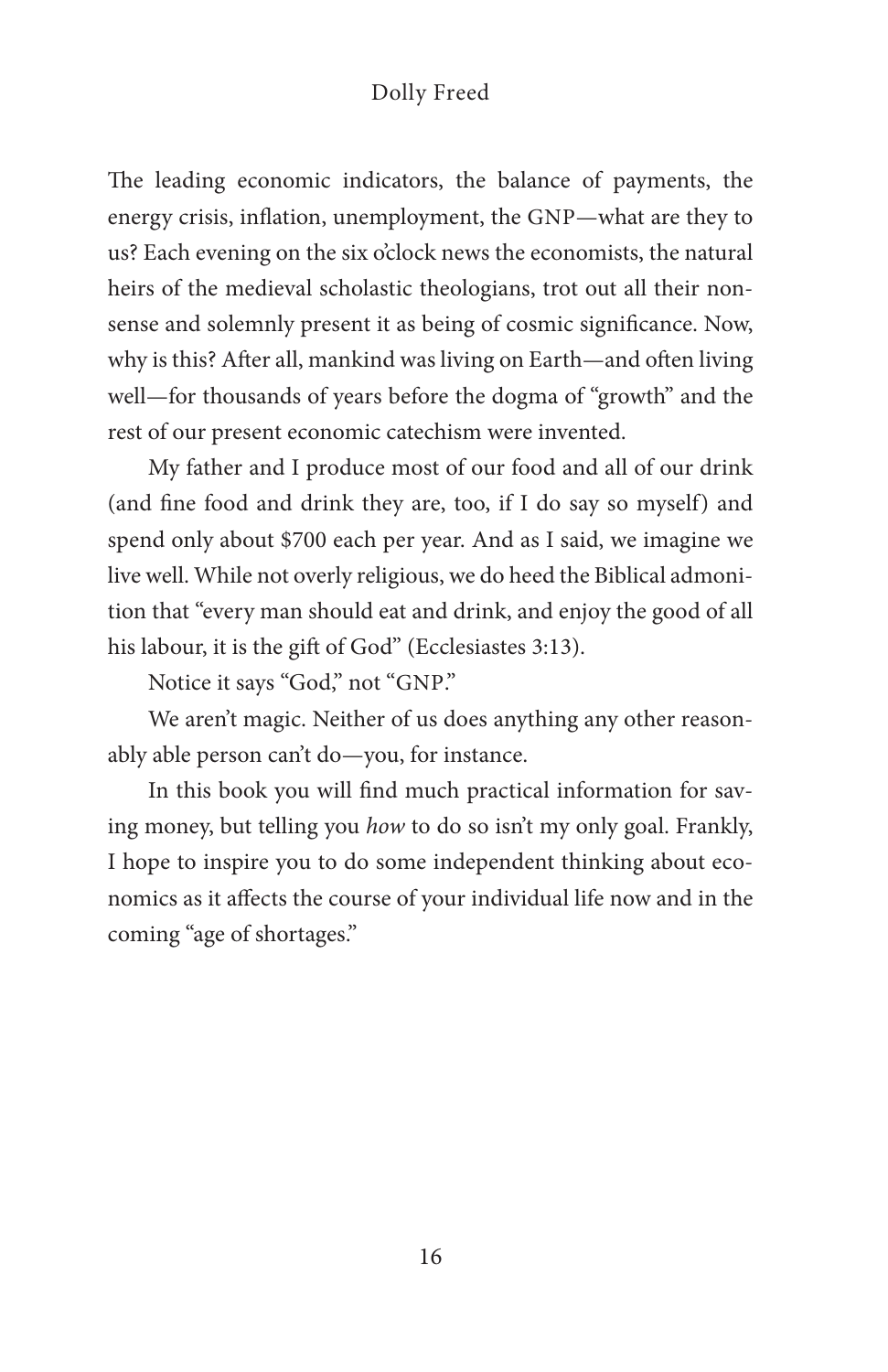The leading economic indicators, the balance of payments, the energy crisis, inflation, unemployment, the GNP—what are they to us? Each evening on the six o'clock news the economists, the natural heirs of the medieval scholastic theologians, trot out all their nonsense and solemnly present it as being of cosmic significance. Now, why is this? After all, mankind was living on Earth—and often living well—for thousands of years before the dogma of "growth" and the rest of our present economic catechism were invented.

My father and I produce most of our food and all of our drink (and fine food and drink they are, too, if I do say so myself) and spend only about \$700 each per year. And as I said, we imagine we live well. While not overly religious, we do heed the Biblical admonition that "every man should eat and drink, and enjoy the good of all his labour, it is the gift of God" (Ecclesiastes 3:13).

Notice it says "God," not "GNP."

We aren't magic. Neither of us does anything any other reasonably able person can't do—you, for instance.

In this book you will find much practical information for saving money, but telling you *how* to do so isn't my only goal. Frankly, I hope to inspire you to do some independent thinking about economics as it affects the course of your individual life now and in the coming "age of shortages."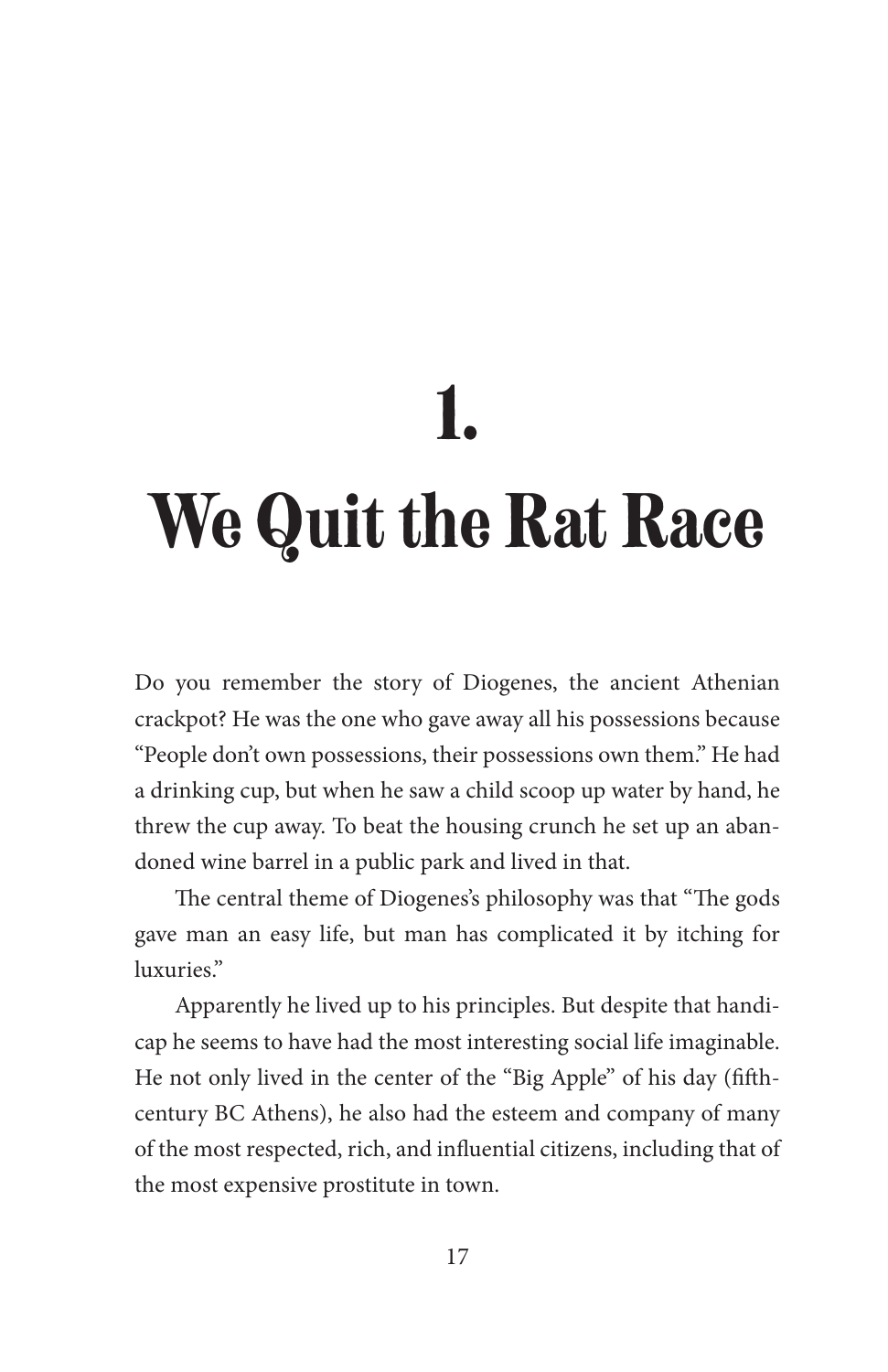# 1.

# We Quit the Rat Race

Do you remember the story of Diogenes, the ancient Athenian crackpot? He was the one who gave away all his possessions because "People don't own possessions, their possessions own them." He had a drinking cup, but when he saw a child scoop up water by hand, he threw the cup away. To beat the housing crunch he set up an abandoned wine barrel in a public park and lived in that.

The central theme of Diogenes's philosophy was that "The gods gave man an easy life, but man has complicated it by itching for luxuries."

Apparently he lived up to his principles. But despite that handicap he seems to have had the most interesting social life imaginable. He not only lived in the center of the "Big Apple" of his day (fifthcentury BC Athens), he also had the esteem and company of many of the most respected, rich, and influential citizens, including that of the most expensive prostitute in town.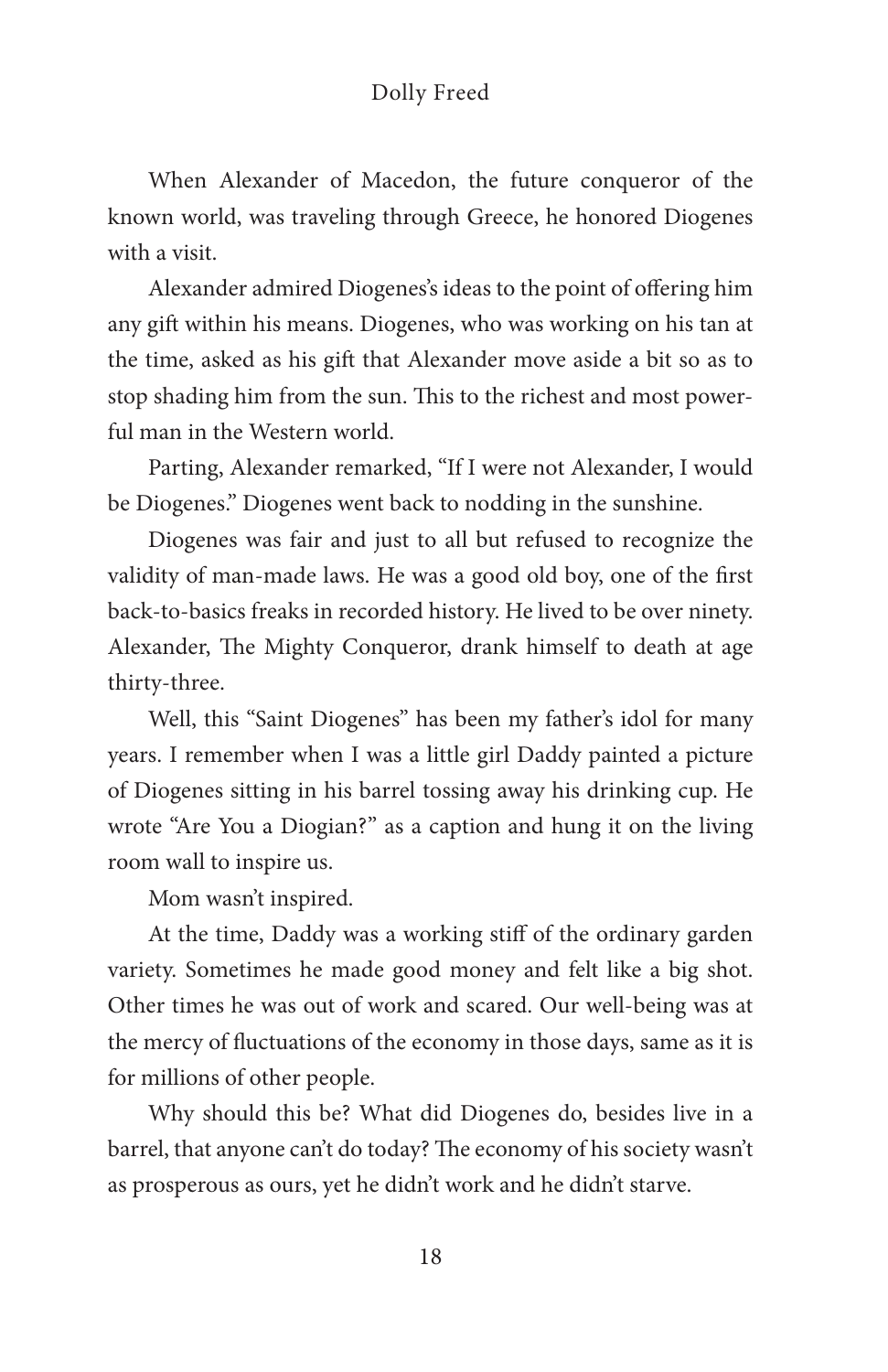When Alexander of Macedon, the future conqueror of the known world, was traveling through Greece, he honored Diogenes with a visit.

Alexander admired Diogenes's ideas to the point of offering him any gift within his means. Diogenes, who was working on his tan at the time, asked as his gift that Alexander move aside a bit so as to stop shading him from the sun. This to the richest and most powerful man in the Western world.

Parting, Alexander remarked, "If I were not Alexander, I would be Diogenes." Diogenes went back to nodding in the sunshine.

Diogenes was fair and just to all but refused to recognize the validity of man-made laws. He was a good old boy, one of the first back-to-basics freaks in recorded history. He lived to be over ninety. Alexander, The Mighty Conqueror, drank himself to death at age thirty-three.

Well, this "Saint Diogenes" has been my father's idol for many years. I remember when I was a little girl Daddy painted a picture of Diogenes sitting in his barrel tossing away his drinking cup. He wrote "Are You a Diogian?" as a caption and hung it on the living room wall to inspire us.

Mom wasn't inspired.

At the time, Daddy was a working stiff of the ordinary garden variety. Sometimes he made good money and felt like a big shot. Other times he was out of work and scared. Our well-being was at the mercy of fluctuations of the economy in those days, same as it is for millions of other people.

Why should this be? What did Diogenes do, besides live in a barrel, that anyone can't do today? The economy of his society wasn't as prosperous as ours, yet he didn't work and he didn't starve.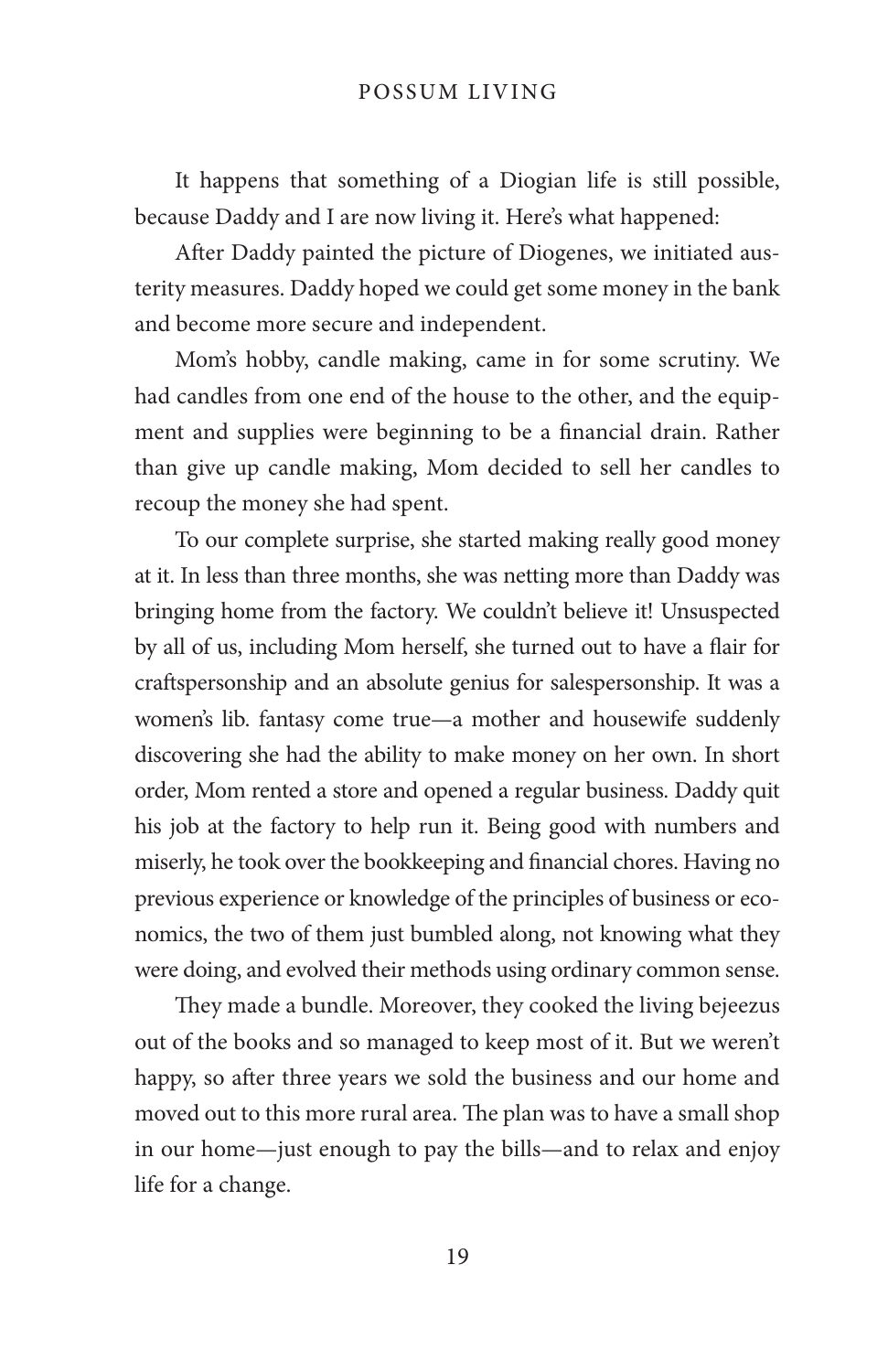It happens that something of a Diogian life is still possible, because Daddy and I are now living it. Here's what happened:

After Daddy painted the picture of Diogenes, we initiated austerity measures. Daddy hoped we could get some money in the bank and become more secure and independent.

Mom's hobby, candle making, came in for some scrutiny. We had candles from one end of the house to the other, and the equipment and supplies were beginning to be a financial drain. Rather than give up candle making, Mom decided to sell her candles to recoup the money she had spent.

To our complete surprise, she started making really good money at it. In less than three months, she was netting more than Daddy was bringing home from the factory. We couldn't believe it! Unsuspected by all of us, including Mom herself, she turned out to have a flair for craftspersonship and an absolute genius for salespersonship. It was a women's lib. fantasy come true—a mother and housewife suddenly discovering she had the ability to make money on her own. In short order, Mom rented a store and opened a regular business. Daddy quit his job at the factory to help run it. Being good with numbers and miserly, he took over the bookkeeping and financial chores. Having no previous experience or knowledge of the principles of business or economics, the two of them just bumbled along, not knowing what they were doing, and evolved their methods using ordinary common sense.

They made a bundle. Moreover, they cooked the living bejeezus out of the books and so managed to keep most of it. But we weren't happy, so after three years we sold the business and our home and moved out to this more rural area. The plan was to have a small shop in our home—just enough to pay the bills—and to relax and enjoy life for a change.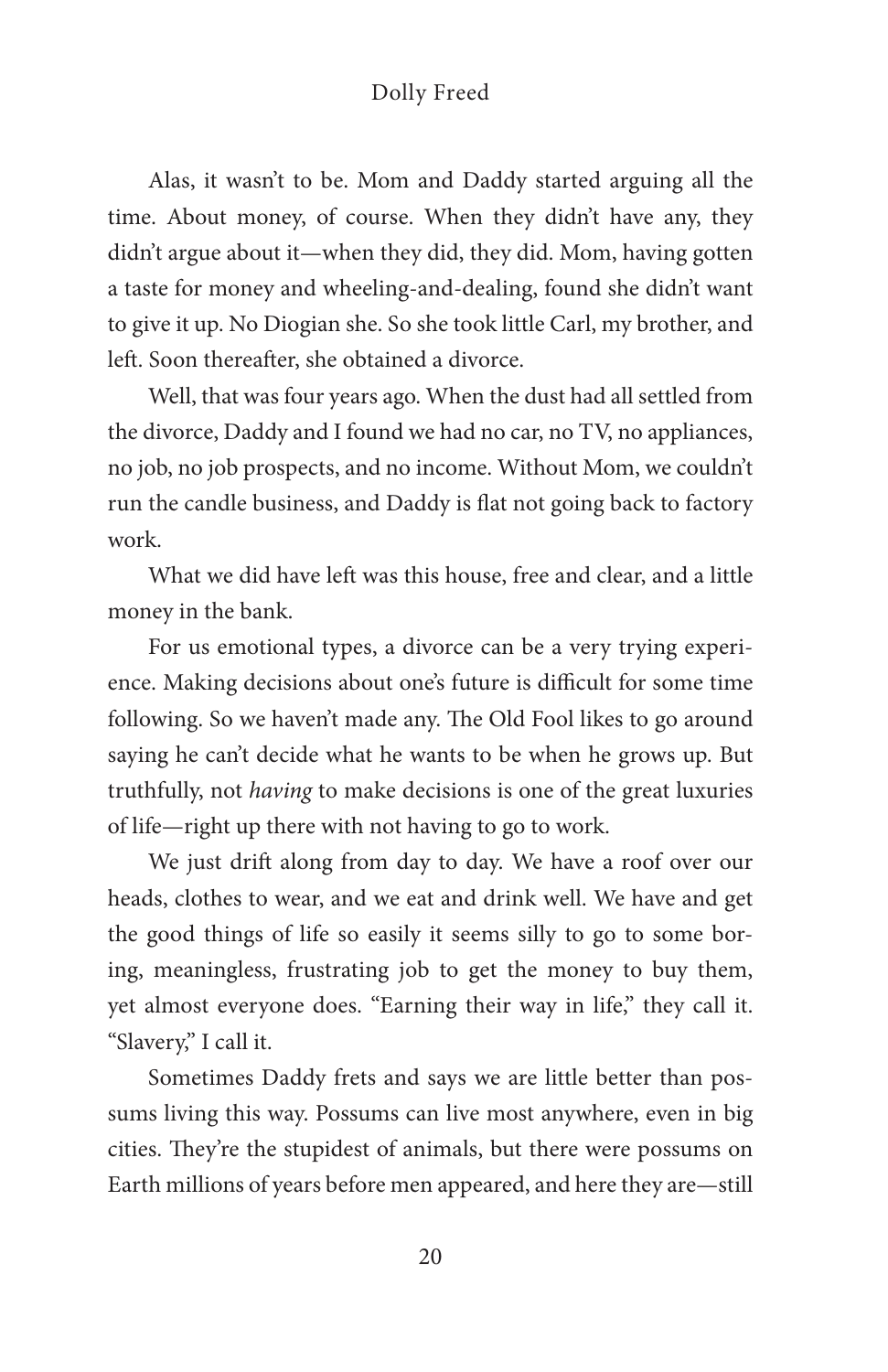Alas, it wasn't to be. Mom and Daddy started arguing all the time. About money, of course. When they didn't have any, they didn't argue about it—when they did, they did. Mom, having gotten a taste for money and wheeling-and-dealing, found she didn't want to give it up. No Diogian she. So she took little Carl, my brother, and left. Soon thereafter, she obtained a divorce.

Well, that was four years ago. When the dust had all settled from the divorce, Daddy and I found we had no car, no TV, no appliances, no job, no job prospects, and no income. Without Mom, we couldn't run the candle business, and Daddy is flat not going back to factory work.

What we did have left was this house, free and clear, and a little money in the bank.

For us emotional types, a divorce can be a very trying experience. Making decisions about one's future is difficult for some time following. So we haven't made any. The Old Fool likes to go around saying he can't decide what he wants to be when he grows up. But truthfully, not *having* to make decisions is one of the great luxuries of life—right up there with not having to go to work.

We just drift along from day to day. We have a roof over our heads, clothes to wear, and we eat and drink well. We have and get the good things of life so easily it seems silly to go to some boring, meaningless, frustrating job to get the money to buy them, yet almost everyone does. "Earning their way in life," they call it. "Slavery," I call it.

Sometimes Daddy frets and says we are little better than possums living this way. Possums can live most anywhere, even in big cities. They're the stupidest of animals, but there were possums on Earth millions of years before men appeared, and here they are—still